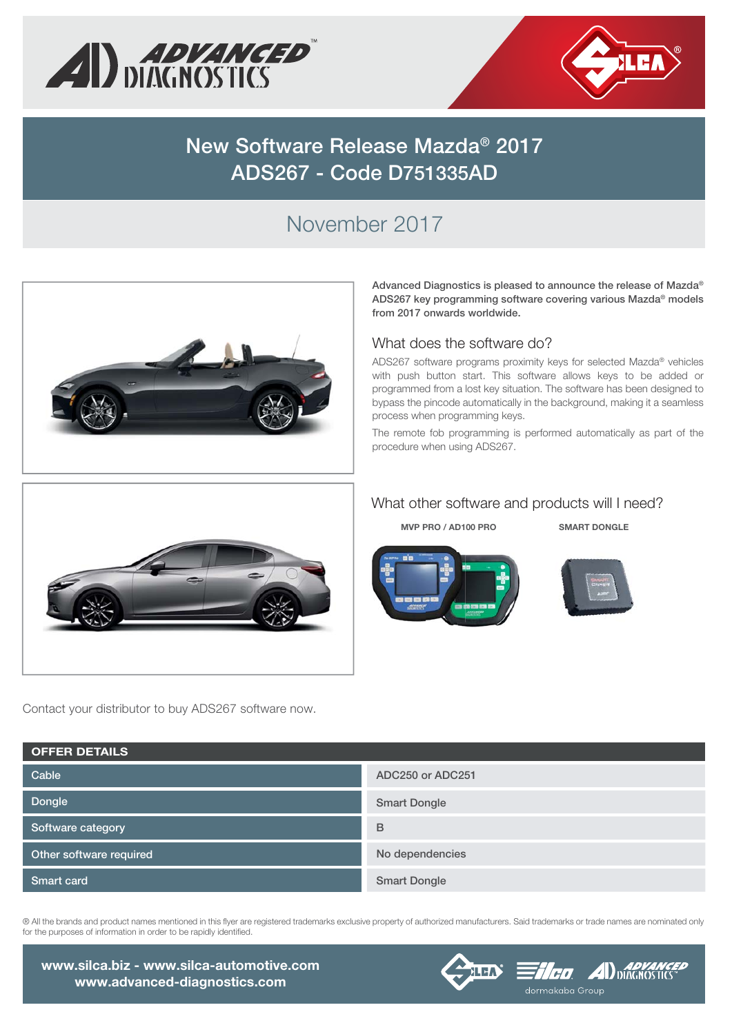



# **New Software Release Mazda® 2017 ADS267 - Code D751335AD**

# November 2017



**Advanced Diagnostics is pleased to announce the release of Mazda® ADS267 key programming software covering various Mazda® models from 2017 onwards worldwide.**

#### What does the software do?

ADS267 software programs proximity keys for selected Mazda® vehicles with push button start. This software allows keys to be added or programmed from a lost key situation. The software has been designed to bypass the pincode automatically in the background, making it a seamless process when programming keys.

The remote fob programming is performed automatically as part of the procedure when using ADS267.



Contact your distributor to buy ADS267 software now.

#### What other software and products will I need?

**MVP PRO / AD100 PRO SMART DONGLE**





**Dongle Cable Software category Other software required Smart card ADC250 or ADC251 Smart Dongle B No dependencies Smart Dongle OFFER DETAILS**

® All the brands and product names mentioned in this flyer are registered trademarks exclusive property of authorized manufacturers. Said trademarks or trade names are nominated only for the purposes of information in order to be rapidly identified.

**www.silca.biz - www.silca-automotive.com www.advanced-diagnostics.com**